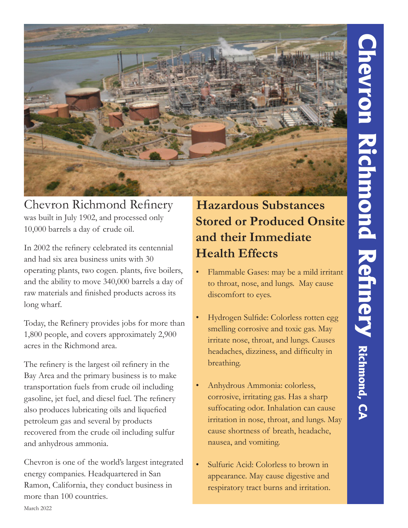

#### Chevron Richmond Refinery was built in July 1902, and processed only 10,000 barrels a day of crude oil.

In 2002 the refinery celebrated its centennial and had six area business units with 30 operating plants, two cogen. plants, five boilers, and the ability to move 340,000 barrels a day of raw materials and finished products across its long wharf.

Today, the Refinery provides jobs for more than 1,800 people, and covers approximately 2,900 acres in the Richmond area.

The refinery is the largest oil refinery in the Bay Area and the primary business is to make transportation fuels from crude oil including gasoline, jet fuel, and diesel fuel. The refinery also produces lubricating oils and liquefied petroleum gas and several by products recovered from the crude oil including sulfur and anhydrous ammonia.

Chevron is one of the world's largest integrated energy companies. Headquartered in San Ramon, California, they conduct business in more than 100 countries.

### **Hazardous Substances Stored or Produced Onsite and their Immediate Health Effects**

- Flammable Gases: may be a mild irritant to throat, nose, and lungs. May cause discomfort to eyes.
- Hydrogen Sulfide: Colorless rotten egg smelling corrosive and toxic gas. May irritate nose, throat, and lungs. Causes headaches, dizziness, and difficulty in breathing.
- Anhydrous Ammonia: colorless, corrosive, irritating gas. Has a sharp suffocating odor. Inhalation can cause irritation in nose, throat, and lungs. May cause shortness of breath, headache, nausea, and vomiting.
- Sulfuric Acid: Colorless to brown in appearance. May cause digestive and respiratory tract burns and irritation.